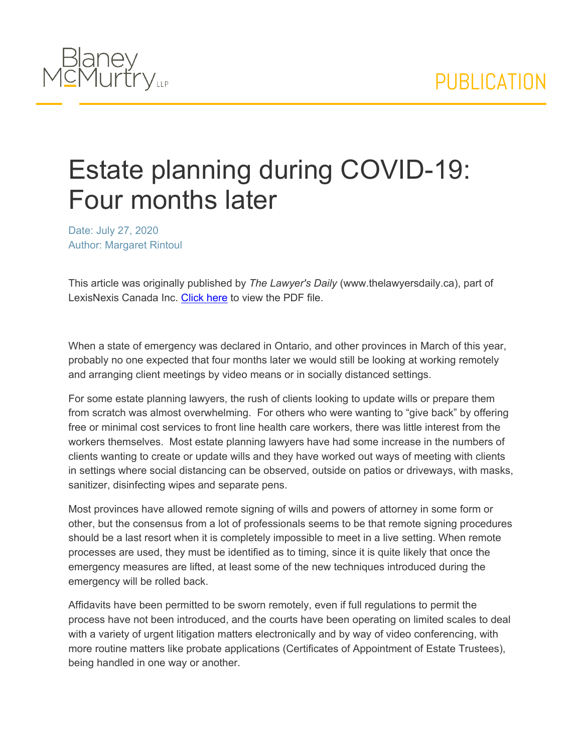

## Estate planning during COVID-19: Four months later

Date: July 27, 2020 Author: Margaret Rintoul

This article was originally published by *The Lawyer's Daily* (www.thelawyersdaily.ca), part of LexisNexis Canada Inc. [Click](/webfiles/Estate%20planning%20during%20COVID-19%20Four%20months%20later.pdf) [here](/webfiles/Estate%20planning%20during%20COVID-19%20Four%20months%20later.pdf) to view the PDF file.

When a state of emergency was declared in Ontario, and other provinces in March of this year, probably no one expected that four months later we would still be looking at working remotely and arranging client meetings by video means or in socially distanced settings.

For some estate planning lawyers, the rush of clients looking to update wills or prepare them from scratch was almost overwhelming. For others who were wanting to "give back" by offering free or minimal cost services to front line health care workers, there was little interest from the workers themselves. Most estate planning lawyers have had some increase in the numbers of clients wanting to create or update wills and they have worked out ways of meeting with clients in settings where social distancing can be observed, outside on patios or driveways, with masks, sanitizer, disinfecting wipes and separate pens.

Most provinces have allowed remote signing of wills and powers of attorney in some form or other, but the consensus from a lot of professionals seems to be that remote signing procedures should be a last resort when it is completely impossible to meet in a live setting. When remote processes are used, they must be identified as to timing, since it is quite likely that once the emergency measures are lifted, at least some of the new techniques introduced during the emergency will be rolled back.

Affidavits have been permitted to be sworn remotely, even if full regulations to permit the process have not been introduced, and the courts have been operating on limited scales to deal with a variety of urgent litigation matters electronically and by way of video conferencing, with more routine matters like probate applications (Certificates of Appointment of Estate Trustees), being handled in one way or another.